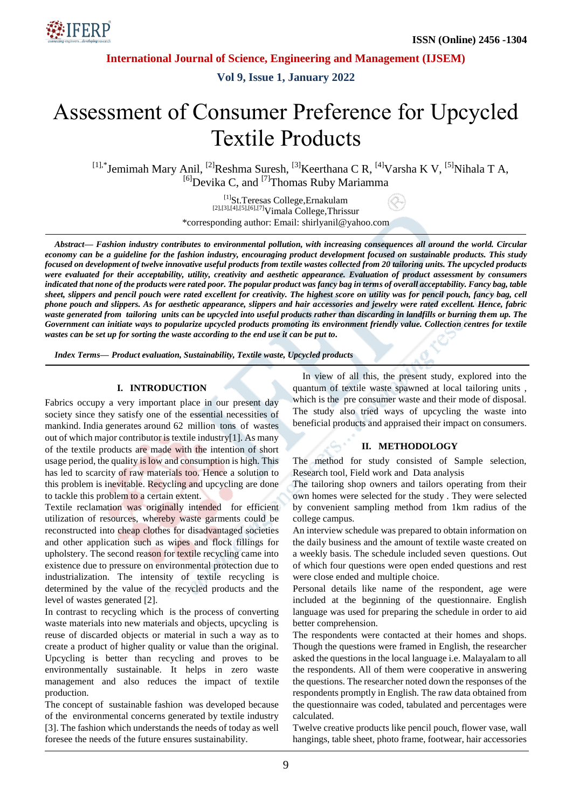

**International Journal of Science, Engineering and Management (IJSEM)**

**Vol 9, Issue 1, January 2022**

# Assessment of Consumer Preference for Upcycled Textile Products

<sup>[1],\*</sup>Jemimah Mary Anil, <sup>[2]</sup>Reshma Suresh, <sup>[3]</sup>Keerthana C R, <sup>[4]</sup>Varsha K V, <sup>[5]</sup>Nihala T A, <sup>[6]</sup>Devika C, and <sup>[7]</sup>Thomas Ruby Mariamma

> [1]St.Teresas College,Ernakulam [2],[3],[4],[5],[6],[7]Vimala College,Thrissur \*corresponding author: Email: shirlyanil@yahoo.com

*Abstract— Fashion industry contributes to environmental pollution, with increasing consequences all around the world. Circular economy can be a guideline for the fashion industry, encouraging product development focused on sustainable products. This study focused on development of twelve innovative useful products from textile wastes collected from 20 tailoring units. The upcycled products were evaluated for their acceptability, utility, creativity and aesthetic appearance. Evaluation of product assessment by consumers indicated that none of the products were rated poor. The popular product was fancy bag in terms of overall acceptability. Fancy bag, table sheet, slippers and pencil pouch were rated excellent for creativity. The highest score on utility was for pencil pouch, fancy bag, cell phone pouch and slippers. As for aesthetic appearance, slippers and hair accessories and jewelry were rated excellent. Hence, fabric waste generated from tailoring units can be upcycled into useful products rather than discarding in landfills or burning them up. The Government can initiate ways to popularize upcycled products promoting its environment friendly value. Collection centres for textile wastes can be set up for sorting the waste according to the end use it can be put to.*

*Index Terms— Product evaluation, Sustainability, Textile waste, Upcycled products*

#### **I. INTRODUCTION**

Fabrics occupy a very important place in our present day society since they satisfy one of the essential necessities of mankind. India generates around 62 million tons of wastes out of which major contributor is textile industry[1]. As many of the textile products are made with the intention of short usage period, the quality is low and consumption is high. This has led to scarcity of raw materials too. Hence a solution to this problem is inevitable. Recycling and upcycling are done to tackle this problem to a certain extent.

Textile reclamation was originally intended for efficient utilization of resources, whereby waste garments could be reconstructed into cheap clothes for disadvantaged societies and other application such as wipes and flock fillings for upholstery. The second reason for textile recycling came into existence due to pressure on environmental protection due to industrialization. The intensity of textile recycling is determined by the value of the recycled products and the level of wastes generated [2].

In contrast to recycling which is the process of converting waste materials into new materials and objects, upcycling is reuse of discarded objects or material in such a way as to create a product of higher quality or value than the original. Upcycling is better than recycling and proves to be environmentally sustainable. It helps in zero waste management and also reduces the impact of textile production.

The concept of sustainable fashion was developed because of the environmental concerns generated by textile industry [3]. The fashion which understands the needs of today as well foresee the needs of the future ensures sustainability.

In view of all this, the present study, explored into the quantum of textile waste spawned at local tailoring units , which is the pre consumer waste and their mode of disposal. The study also tried ways of upcycling the waste into beneficial products and appraised their impact on consumers.

#### **II. METHODOLOGY**

The method for study consisted of Sample selection, Research tool, Field work and Data analysis

The tailoring shop owners and tailors operating from their own homes were selected for the study . They were selected by convenient sampling method from 1km radius of the college campus.

An interview schedule was prepared to obtain information on the daily business and the amount of textile waste created on a weekly basis. The schedule included seven questions. Out of which four questions were open ended questions and rest were close ended and multiple choice.

Personal details like name of the respondent, age were included at the beginning of the questionnaire. English language was used for preparing the schedule in order to aid better comprehension.

The respondents were contacted at their homes and shops. Though the questions were framed in English, the researcher asked the questions in the local language i.e. Malayalam to all the respondents. All of them were cooperative in answering the questions. The researcher noted down the responses of the respondents promptly in English. The raw data obtained from the questionnaire was coded, tabulated and percentages were calculated.

Twelve creative products like pencil pouch, flower vase, wall hangings, table sheet, photo frame, footwear, hair accessories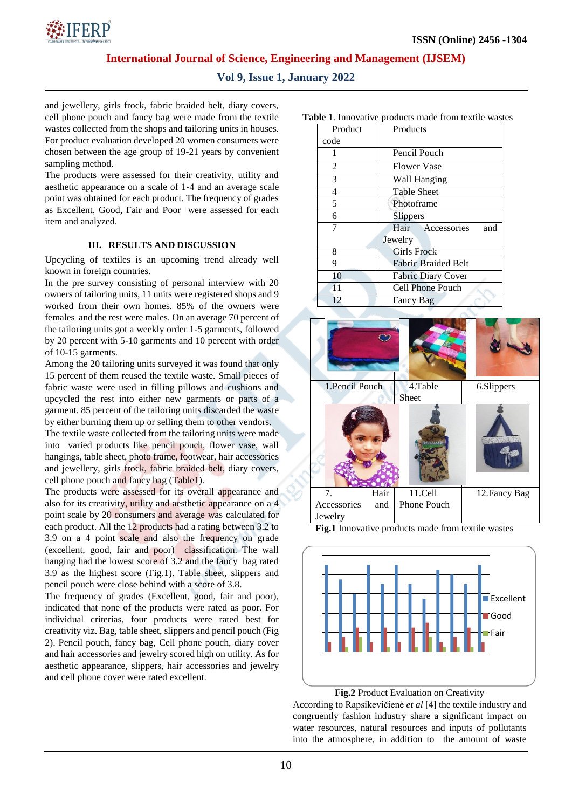

**International Journal of Science, Engineering and Management (IJSEM)**

## **Vol 9, Issue 1, January 2022**

and jewellery, girls frock, fabric braided belt, diary covers, cell phone pouch and fancy bag were made from the textile wastes collected from the shops and tailoring units in houses. For product evaluation developed 20 women consumers were chosen between the age group of 19-21 years by convenient sampling method.

The products were assessed for their creativity, utility and aesthetic appearance on a scale of 1-4 and an average scale point was obtained for each product. The frequency of grades as Excellent, Good, Fair and Poor were assessed for each item and analyzed.

#### **III. RESULTS AND DISCUSSION**

Upcycling of textiles is an upcoming trend already well known in foreign countries.

In the pre survey consisting of personal interview with 20 owners of tailoring units, 11 units were registered shops and 9 worked from their own homes. 85% of the owners were females and the rest were males. On an average 70 percent of the tailoring units got a weekly order 1-5 garments, followed by 20 percent with 5-10 garments and 10 percent with order of 10-15 garments.

Among the 20 tailoring units surveyed it was found that only 15 percent of them reused the textile waste. Small pieces of fabric waste were used in filling pillows and cushions and upcycled the rest into either new garments or parts of a garment. 85 percent of the tailoring units discarded the waste by either burning them up or selling them to other vendors.

The textile waste collected from the tailoring units were made into varied products like pencil pouch, flower vase, wall hangings, table sheet, photo frame, footwear, hair accessories and jewellery, girls frock, fabric braided belt, diary covers, cell phone pouch and fancy bag (Table1).

The products were assessed for its overall appearance and also for its creativity, utility and aesthetic appearance on a 4 point scale by 20 consumers and average was calculated for each product. All the 12 products had a rating between 3.2 to 3.9 on a 4 point scale and also the frequency on grade (excellent, good, fair and poor) classification. The wall hanging had the lowest score of 3.2 and the fancy bag rated 3.9 as the highest score (Fig.1). Table sheet, slippers and pencil pouch were close behind with a score of 3.8.

The frequency of grades (Excellent, good, fair and poor), indicated that none of the products were rated as poor. For individual criterias, four products were rated best for creativity viz. Bag, table sheet, slippers and pencil pouch (Fig 2). Pencil pouch, fancy bag, Cell phone pouch, diary cover and hair accessories and jewelry scored high on utility. As for aesthetic appearance, slippers, hair accessories and jewelry and cell phone cover were rated excellent.

| <b>Table 1.</b> Innovative products made from textile wastes |         |                            |
|--------------------------------------------------------------|---------|----------------------------|
|                                                              | Product | Products                   |
|                                                              | code    |                            |
|                                                              |         | Pencil Pouch               |
|                                                              | 2       | <b>Flower Vase</b>         |
|                                                              | 3       | Wall Hanging               |
|                                                              | 4       | <b>Table Sheet</b>         |
|                                                              | 5       | Photoframe                 |
|                                                              | 6       | Slippers                   |
|                                                              | 7       | Hair Accessories<br>and    |
|                                                              |         | Jewelry                    |
|                                                              | 8       | <b>Girls Frock</b>         |
|                                                              | 9       | <b>Fabric Braided Belt</b> |
|                                                              | 10      | <b>Fabric Diary Cover</b>  |
|                                                              | 11      | Cell Phone Pouch           |
|                                                              | 12      | Fancy Bag                  |



**Fig.1** Innovative products made from textile wastes





According to Rapsikevičienė *et al* [4] the textile industry and congruently fashion industry share a significant impact on water resources, natural resources and inputs of pollutants into the atmosphere, in addition to the amount of waste